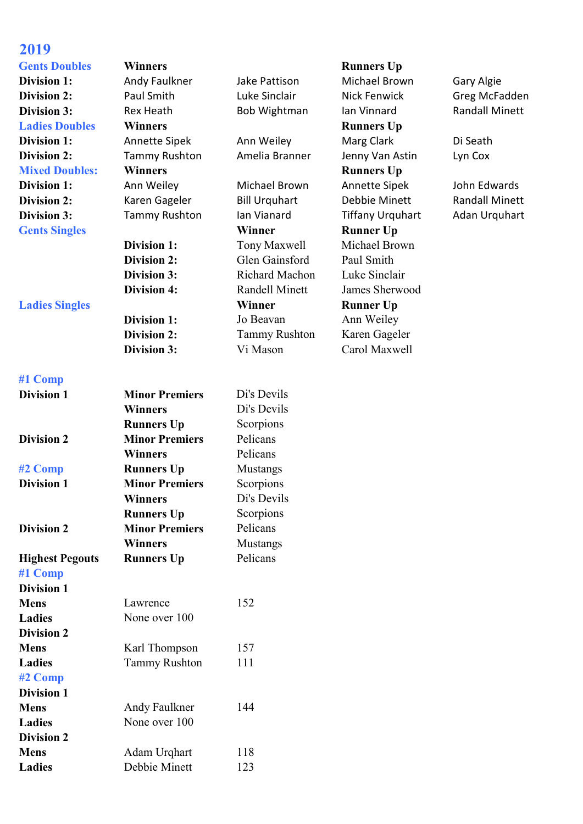## **2019**

## **Gents Doubles Winners Runners Up Ladies Doubles Winners Winners Runners Runners Dp Mixed Doubles: Winners Runners Runners Runners Up**

**#1 Comp**

| <b>Division 1</b>      | <b>Minor Premiers</b> | Di's Devils     |
|------------------------|-----------------------|-----------------|
|                        | <b>Winners</b>        | Di's Devils     |
|                        | <b>Runners Up</b>     | Scorpions       |
| <b>Division 2</b>      | <b>Minor Premiers</b> | Pelicans        |
|                        | <b>Winners</b>        | Pelicans        |
| #2 Comp                | <b>Runners Up</b>     | <b>Mustangs</b> |
| <b>Division 1</b>      | <b>Minor Premiers</b> | Scorpions       |
|                        | <b>Winners</b>        | Di's Devils     |
|                        | <b>Runners Up</b>     | Scorpions       |
| <b>Division 2</b>      | <b>Minor Premiers</b> | Pelicans        |
|                        | <b>Winners</b>        | Mustangs        |
| <b>Highest Pegouts</b> | <b>Runners Up</b>     | Pelicans        |
| #1 Comp                |                       |                 |
| <b>Division 1</b>      |                       |                 |
| <b>Mens</b>            | Lawrence              | 152             |
| <b>Ladies</b>          | None over 100         |                 |
| <b>Division 2</b>      |                       |                 |
| <b>Mens</b>            | Karl Thompson         | 157             |
| <b>Ladies</b>          | <b>Tammy Rushton</b>  | 111             |
| #2 Comp                |                       |                 |
| <b>Division 1</b>      |                       |                 |
| <b>Mens</b>            | Andy Faulkner         | 144             |
| <b>Ladies</b>          | None over 100         |                 |
| <b>Division 2</b>      |                       |                 |
| <b>Mens</b>            | Adam Urqhart          | 118             |
| <b>Ladies</b>          | Debbie Minett         | 123             |
|                        |                       |                 |

**Gents Singles Winner Runner Up Division 1:** Tony Maxwell Michael Brown **Division 2:** Glen Gainsford Paul Smith **Division 3:** Richard Machon Luke Sinclair **Division 4:** Randell Minett James Sherwood **Ladies Singles Winner Runner Up Division 1:** Jo Beavan Ann Weiley **Division 2:** Tammy Rushton Karen Gageler **Division 3:** Vi Mason Carol Maxwell

**Division 1:** Andy Faulkner Jake Pattison Michael Brown Gary Algie **Division 2:** Paul Smith Luke Sinclair Nick Fenwick Greg McFadden **Division 3:** Rex Heath Bob Wightman Ian Vinnard Randall Minett **Division 1:** Annette Sipek Ann Weiley Marg Clark Di Seath **Division 2:** Tammy Rushton Amelia Branner Jenny Van Astin Lyn Cox **Division 1:** Ann Weiley Michael Brown Annette Sipek John Edwards **Division 2:** Karen Gageler Bill Urquhart Debbie Minett Randall Minett **Division 3:** Tammy Rushton Ian Vianard Tiffany Urquhart Adan Urquhart